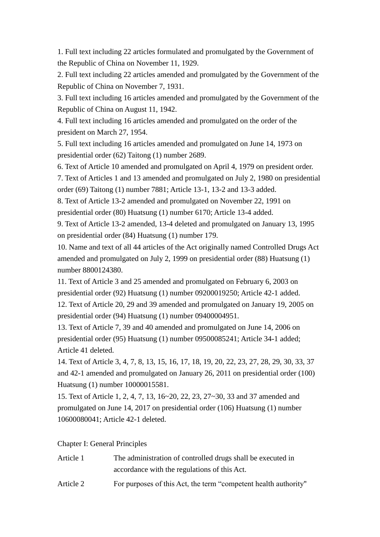1. Full text including 22 articles formulated and promulgated by the Government of the Republic of China on November 11, 1929.

2. Full text including 22 articles amended and promulgated by the Government of the Republic of China on November 7, 1931.

3. Full text including 16 articles amended and promulgated by the Government of the Republic of China on August 11, 1942.

4. Full text including 16 articles amended and promulgated on the order of the president on March 27, 1954.

5. Full text including 16 articles amended and promulgated on June 14, 1973 on presidential order (62) Taitong (1) number 2689.

6. Text of Article 10 amended and promulgated on April 4, 1979 on president order.

7. Text of Articles 1 and 13 amended and promulgated on July 2, 1980 on presidential order (69) Taitong (1) number 7881; Article 13-1, 13-2 and 13-3 added.

8. Text of Article 13-2 amended and promulgated on November 22, 1991 on presidential order (80) Huatsung (1) number 6170; Article 13-4 added.

9. Text of Article 13-2 amended, 13-4 deleted and promulgated on January 13, 1995 on presidential order (84) Huatsung (1) number 179.

10. Name and text of all 44 articles of the Act originally named Controlled Drugs Act amended and promulgated on July 2, 1999 on presidential order (88) Huatsung (1) number 8800124380.

11. Text of Article 3 and 25 amended and promulgated on February 6, 2003 on presidential order (92) Huatsung (1) number 09200019250; Article 42-1 added.

12. Text of Article 20, 29 and 39 amended and promulgated on January 19, 2005 on presidential order (94) Huatsung (1) number 09400004951.

13. Text of Article 7, 39 and 40 amended and promulgated on June 14, 2006 on presidential order (95) Huatsung (1) number 09500085241; Article 34-1 added; Article 41 deleted.

14. Text of Article 3, 4, 7, 8, 13, 15, 16, 17, 18, 19, 20, 22, 23, 27, 28, 29, 30, 33, 37 and 42-1 amended and promulgated on January 26, 2011 on presidential order (100) Huatsung (1) number 10000015581.

15. Text of Article 1, 2, 4, 7, 13, 16~20, 22, 23, 27~30, 33 and 37 amended and promulgated on June 14, 2017 on presidential order (106) Huatsung (1) number 10600080041; Article 42-1 deleted.

Chapter I: General Principles

| Article 1 | The administration of controlled drugs shall be executed in     |
|-----------|-----------------------------------------------------------------|
|           | accordance with the regulations of this Act.                    |
| Article 2 | For purposes of this Act, the term "competent health authority" |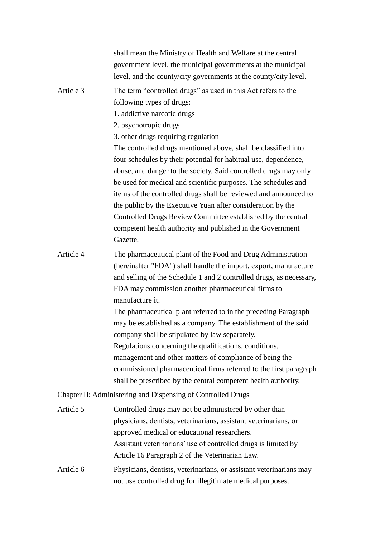shall mean the Ministry of Health and Welfare at the central government level, the municipal governments at the municipal level, and the county/city governments at the county/city level. Article 3 The term "controlled drugs" as used in this Act refers to the following types of drugs: 1. addictive narcotic drugs 2. psychotropic drugs 3. other drugs requiring regulation The controlled drugs mentioned above, shall be classified into four schedules by their potential for habitual use, dependence, abuse, and danger to the society. Said controlled drugs may only be used for medical and scientific purposes. The schedules and items of the controlled drugs shall be reviewed and announced to the public by the Executive Yuan after consideration by the Controlled Drugs Review Committee established by the central competent health authority and published in the Government Gazette. Article 4 The pharmaceutical plant of the Food and Drug Administration (hereinafter "FDA") shall handle the import, export, manufacture and selling of the Schedule 1 and 2 controlled drugs, as necessary, FDA may commission another pharmaceutical firms to manufacture it. The pharmaceutical plant referred to in the preceding Paragraph may be established as a company. The establishment of the said company shall be stipulated by law separately. Regulations concerning the qualifications, conditions, management and other matters of compliance of being the commissioned pharmaceutical firms referred to the first paragraph shall be prescribed by the central competent health authority. Chapter II: Administering and Dispensing of Controlled Drugs Article 5 Controlled drugs may not be administered by other than physicians, dentists, veterinarians, assistant veterinarians, or approved medical or educational researchers. Assistant veterinarians' use of controlled drugs is limited by Article 16 Paragraph 2 of the Veterinarian Law. Article 6 Physicians, dentists, veterinarians, or assistant veterinarians may

not use controlled drug for illegitimate medical purposes.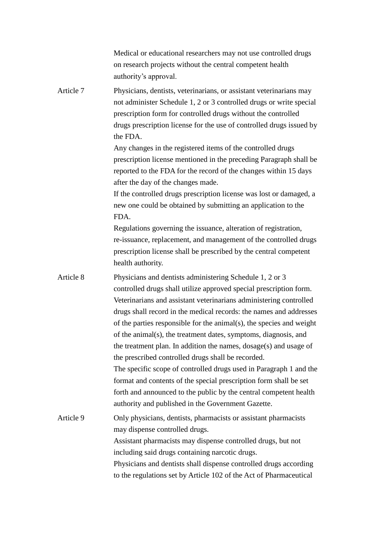|           | Medical or educational researchers may not use controlled drugs<br>on research projects without the central competent health<br>authority's approval.                                                                                                                                                                                                                                                                                                                                                                                                                                                                                                                                                                                                                                                                                   |
|-----------|-----------------------------------------------------------------------------------------------------------------------------------------------------------------------------------------------------------------------------------------------------------------------------------------------------------------------------------------------------------------------------------------------------------------------------------------------------------------------------------------------------------------------------------------------------------------------------------------------------------------------------------------------------------------------------------------------------------------------------------------------------------------------------------------------------------------------------------------|
| Article 7 | Physicians, dentists, veterinarians, or assistant veterinarians may<br>not administer Schedule 1, 2 or 3 controlled drugs or write special<br>prescription form for controlled drugs without the controlled<br>drugs prescription license for the use of controlled drugs issued by<br>the FDA.<br>Any changes in the registered items of the controlled drugs<br>prescription license mentioned in the preceding Paragraph shall be<br>reported to the FDA for the record of the changes within 15 days<br>after the day of the changes made.<br>If the controlled drugs prescription license was lost or damaged, a<br>new one could be obtained by submitting an application to the<br>FDA.                                                                                                                                          |
|           | Regulations governing the issuance, alteration of registration,<br>re-issuance, replacement, and management of the controlled drugs<br>prescription license shall be prescribed by the central competent<br>health authority.                                                                                                                                                                                                                                                                                                                                                                                                                                                                                                                                                                                                           |
| Article 8 | Physicians and dentists administering Schedule 1, 2 or 3<br>controlled drugs shall utilize approved special prescription form.<br>Veterinarians and assistant veterinarians administering controlled<br>drugs shall record in the medical records: the names and addresses<br>of the parties responsible for the animal(s), the species and weight<br>of the animal(s), the treatment dates, symptoms, diagnosis, and<br>the treatment plan. In addition the names, $\frac{d}{d}$ dosage $(s)$ and usage of<br>the prescribed controlled drugs shall be recorded.<br>The specific scope of controlled drugs used in Paragraph 1 and the<br>format and contents of the special prescription form shall be set<br>forth and announced to the public by the central competent health<br>authority and published in the Government Gazette. |
| Article 9 | Only physicians, dentists, pharmacists or assistant pharmacists<br>may dispense controlled drugs.<br>Assistant pharmacists may dispense controlled drugs, but not<br>including said drugs containing narcotic drugs.<br>Physicians and dentists shall dispense controlled drugs according<br>to the regulations set by Article 102 of the Act of Pharmaceutical                                                                                                                                                                                                                                                                                                                                                                                                                                                                         |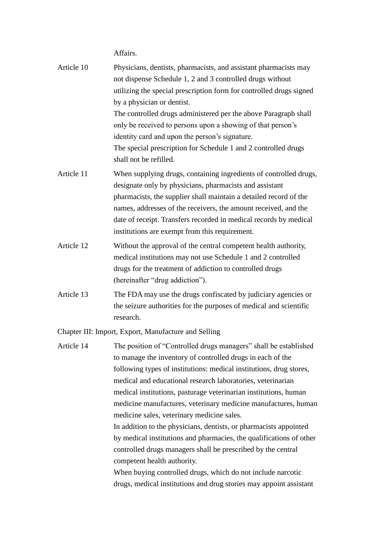Affairs.

| Article 10 | Physicians, dentists, pharmacists, and assistant pharmacists may<br>not dispense Schedule 1, 2 and 3 controlled drugs without<br>utilizing the special prescription form for controlled drugs signed<br>by a physician or dentist.                                                                                                                                                                                                                                  |
|------------|---------------------------------------------------------------------------------------------------------------------------------------------------------------------------------------------------------------------------------------------------------------------------------------------------------------------------------------------------------------------------------------------------------------------------------------------------------------------|
|            | The controlled drugs administered per the above Paragraph shall<br>only be received to persons upon a showing of that person's<br>identity card and upon the person's signature.<br>The special prescription for Schedule 1 and 2 controlled drugs<br>shall not be refilled.                                                                                                                                                                                        |
| Article 11 | When supplying drugs, containing ingredients of controlled drugs,<br>designate only by physicians, pharmacists and assistant<br>pharmacists, the supplier shall maintain a detailed record of the<br>names, addresses of the receivers, the amount received, and the<br>date of receipt. Transfers recorded in medical records by medical<br>institutions are exempt from this requirement.                                                                         |
| Article 12 | Without the approval of the central competent health authority,<br>medical institutions may not use Schedule 1 and 2 controlled<br>drugs for the treatment of addiction to controlled drugs<br>(hereinafter "drug addiction").                                                                                                                                                                                                                                      |
| Article 13 | The FDA may use the drugs confiscated by judiciary agencies or<br>the seizure authorities for the purposes of medical and scientific<br>research.                                                                                                                                                                                                                                                                                                                   |
|            | Chapter III: Import, Export, Manufacture and Selling                                                                                                                                                                                                                                                                                                                                                                                                                |
|            | Article 14 The position of "Controlled drugs managers" shall be established<br>to manage the inventory of controlled drugs in each of the<br>following types of institutions: medical institutions, drug stores,<br>medical and educational research laboratories, veterinarian<br>medical institutions, pasturage veterinarian institutions, human<br>medicine manufactures, veterinary medicine manufactures, human<br>medicine sales, veterinary medicine sales. |
|            | In addition to the physicians, dentists, or pharmacists appointed                                                                                                                                                                                                                                                                                                                                                                                                   |

by medical institutions and pharmacies, the qualifications of other controlled drugs managers shall be prescribed by the central competent health authority.

When buying controlled drugs, which do not include narcotic drugs, medical institutions and drug stories may appoint assistant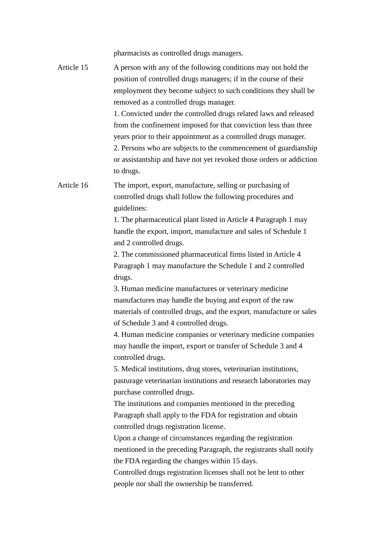pharmacists as controlled drugs managers.

Article 15 A person with any of the following conditions may not hold the position of controlled drugs managers; if in the course of their employment they become subject to such conditions they shall be removed as a controlled drugs manager. 1. Convicted under the controlled drugs related laws and released from the confinement imposed for that conviction less than three years prior to their appointment as a controlled drugs manager. 2. Persons who are subjects to the commencement of guardianship or assistantship and have not yet revoked those orders or addiction to drugs. Article 16 The import, export, manufacture, selling or purchasing of controlled drugs shall follow the following procedures and guidelines: 1. The pharmaceutical plant listed in Article 4 Paragraph 1 may handle the export, import, manufacture and sales of Schedule 1 and 2 controlled drugs. 2. The commissioned pharmaceutical firms listed in Article 4 Paragraph 1 may manufacture the Schedule 1 and 2 controlled drugs. 3. Human medicine manufactures or veterinary medicine manufactures may handle the buying and export of the raw materials of controlled drugs, and the export, manufacture or sales of Schedule 3 and 4 controlled drugs. 4. Human medicine companies or veterinary medicine companies may handle the import, export or transfer of Schedule 3 and 4 controlled drugs. 5. Medical institutions, drug stores, veterinarian institutions, pasturage veterinarian institutions and research laboratories may purchase controlled drugs. The institutions and companies mentioned in the preceding Paragraph shall apply to the FDA for registration and obtain controlled drugs registration license. Upon a change of circumstances regarding the registration mentioned in the preceding Paragraph, the registrants shall notify the FDA regarding the changes within 15 days. Controlled drugs registration licenses shall not be lent to other people nor shall the ownership be transferred.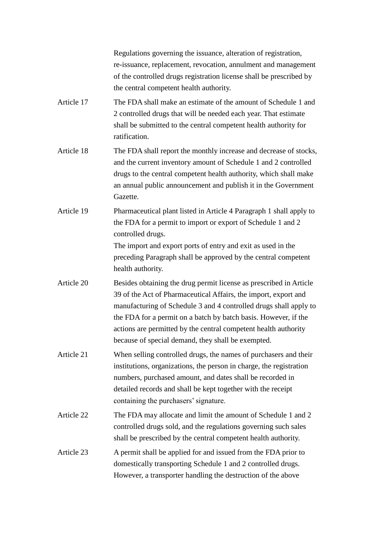Regulations governing the issuance, alteration of registration, re-issuance, replacement, revocation, annulment and management of the controlled drugs registration license shall be prescribed by the central competent health authority.

- Article 17 The FDA shall make an estimate of the amount of Schedule 1 and 2 controlled drugs that will be needed each year. That estimate shall be submitted to the central competent health authority for ratification.
- Article 18 The FDA shall report the monthly increase and decrease of stocks, and the current inventory amount of Schedule 1 and 2 controlled drugs to the central competent health authority, which shall make an annual public announcement and publish it in the Government Gazette.
- Article 19 Pharmaceutical plant listed in Article 4 Paragraph 1 shall apply to the FDA for a permit to import or export of Schedule 1 and 2 controlled drugs.

The import and export ports of entry and exit as used in the preceding Paragraph shall be approved by the central competent health authority.

- Article 20 Besides obtaining the drug permit license as prescribed in Article 39 of the Act of Pharmaceutical Affairs, the import, export and manufacturing of Schedule 3 and 4 controlled drugs shall apply to the FDA for a permit on a batch by batch basis. However, if the actions are permitted by the central competent health authority because of special demand, they shall be exempted.
- Article 21 When selling controlled drugs, the names of purchasers and their institutions, organizations, the person in charge, the registration numbers, purchased amount, and dates shall be recorded in detailed records and shall be kept together with the receipt containing the purchasers' signature.
- Article 22 The FDA may allocate and limit the amount of Schedule 1 and 2 controlled drugs sold, and the regulations governing such sales shall be prescribed by the central competent health authority.

## Article 23 A permit shall be applied for and issued from the FDA prior to domestically transporting Schedule 1 and 2 controlled drugs. However, a transporter handling the destruction of the above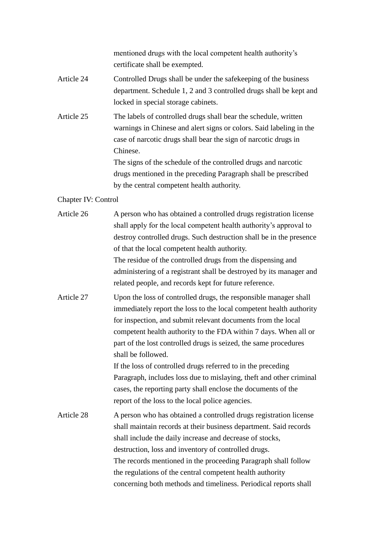mentioned drugs with the local competent health authority's certificate shall be exempted.

- Article 24 Controlled Drugs shall be under the safekeeping of the business department. Schedule 1, 2 and 3 controlled drugs shall be kept and locked in special storage cabinets.
- Article 25 The labels of controlled drugs shall bear the schedule, written warnings in Chinese and alert signs or colors. Said labeling in the case of narcotic drugs shall bear the sign of narcotic drugs in Chinese.

The signs of the schedule of the controlled drugs and narcotic drugs mentioned in the preceding Paragraph shall be prescribed by the central competent health authority.

Chapter IV: Control

Article 26 A person who has obtained a controlled drugs registration license shall apply for the local competent health authority's approval to destroy controlled drugs. Such destruction shall be in the presence of that the local competent health authority. The residue of the controlled drugs from the dispensing and administering of a registrant shall be destroyed by its manager and related people, and records kept for future reference. Article 27 Upon the loss of controlled drugs, the responsible manager shall immediately report the loss to the local competent health authority for inspection, and submit relevant documents from the local competent health authority to the FDA within 7 days. When all or part of the lost controlled drugs is seized, the same procedures shall be followed. If the loss of controlled drugs referred to in the preceding Paragraph, includes loss due to mislaying, theft and other criminal cases, the reporting party shall enclose the documents of the report of the loss to the local police agencies. Article 28 A person who has obtained a controlled drugs registration license shall maintain records at their business department. Said records shall include the daily increase and decrease of stocks, destruction, loss and inventory of controlled drugs. The records mentioned in the proceeding Paragraph shall follow the regulations of the central competent health authority concerning both methods and timeliness. Periodical reports shall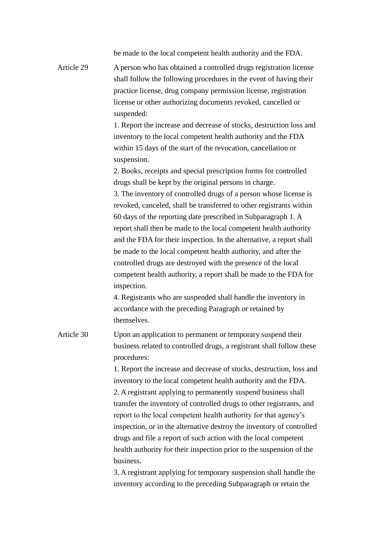|            | be made to the local competent health authority and the FDA.                                                                                                                                                                                                                                                                                                                                                                                                                                                                                                                                                                                                                                                                                                                                                                                                                                                                                                                                                                                                                                                                                                                                                                                                                                                                                                                |
|------------|-----------------------------------------------------------------------------------------------------------------------------------------------------------------------------------------------------------------------------------------------------------------------------------------------------------------------------------------------------------------------------------------------------------------------------------------------------------------------------------------------------------------------------------------------------------------------------------------------------------------------------------------------------------------------------------------------------------------------------------------------------------------------------------------------------------------------------------------------------------------------------------------------------------------------------------------------------------------------------------------------------------------------------------------------------------------------------------------------------------------------------------------------------------------------------------------------------------------------------------------------------------------------------------------------------------------------------------------------------------------------------|
| Article 29 | A person who has obtained a controlled drugs registration license<br>shall follow the following procedures in the event of having their<br>practice license, drug company permission license, registration<br>license or other authorizing documents revoked, cancelled or<br>suspended:<br>1. Report the increase and decrease of stocks, destruction loss and<br>inventory to the local competent health authority and the FDA<br>within 15 days of the start of the revocation, cancellation or<br>suspension.<br>2. Books, receipts and special prescription forms for controlled<br>drugs shall be kept by the original persons in charge.<br>3. The inventory of controlled drugs of a person whose license is<br>revoked, canceled, shall be transferred to other registrants within<br>60 days of the reporting date prescribed in Subparagraph 1. A<br>report shall then be made to the local competent health authority<br>and the FDA for their inspection. In the alternative, a report shall<br>be made to the local competent health authority, and after the<br>controlled drugs are destroyed with the presence of the local<br>competent health authority, a report shall be made to the FDA for<br>inspection.<br>4. Registrants who are suspended shall handle the inventory in<br>accordance with the preceding Paragraph or retained by<br>themselves. |
| Article 30 | Upon an application to permanent or temporary suspend their<br>business related to controlled drugs, a registrant shall follow these<br>procedures:<br>1. Report the increase and decrease of stocks, destruction, loss and<br>inventory to the local competent health authority and the FDA.<br>2. A registrant applying to permanently suspend business shall<br>transfer the inventory of controlled drugs to other registrants, and<br>report to the local competent health authority for that agency's<br>inspection, or in the alternative destroy the inventory of controlled<br>drugs and file a report of such action with the local competent<br>health authority for their inspection prior to the suspension of the<br>business.<br>3. A registrant applying for temporary suspension shall handle the<br>inventory according to the preceding Subparagraph or retain the                                                                                                                                                                                                                                                                                                                                                                                                                                                                                       |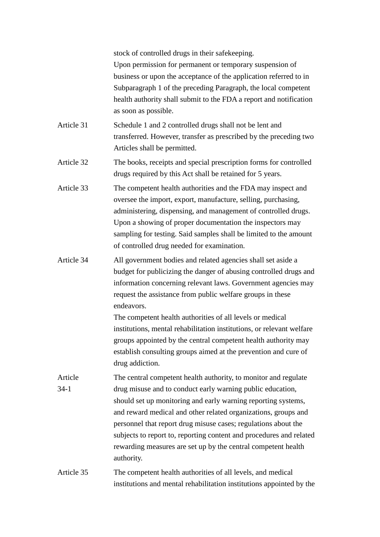stock of controlled drugs in their safekeeping. Upon permission for permanent or temporary suspension of business or upon the acceptance of the application referred to in Subparagraph 1 of the preceding Paragraph, the local competent health authority shall submit to the FDA a report and notification as soon as possible.

- Article 31 Schedule 1 and 2 controlled drugs shall not be lent and transferred. However, transfer as prescribed by the preceding two Articles shall be permitted.
- Article 32 The books, receipts and special prescription forms for controlled drugs required by this Act shall be retained for 5 years.
- Article 33 The competent health authorities and the FDA may inspect and oversee the import, export, manufacture, selling, purchasing, administering, dispensing, and management of controlled drugs. Upon a showing of proper documentation the inspectors may sampling for testing. Said samples shall be limited to the amount of controlled drug needed for examination.
- Article 34 All government bodies and related agencies shall set aside a budget for publicizing the danger of abusing controlled drugs and information concerning relevant laws. Government agencies may request the assistance from public welfare groups in these endeavors.

The competent health authorities of all levels or medical institutions, mental rehabilitation institutions, or relevant welfare groups appointed by the central competent health authority may establish consulting groups aimed at the prevention and cure of drug addiction.

- Article 34-1 The central competent health authority, to monitor and regulate drug misuse and to conduct early warning public education, should set up monitoring and early warning reporting systems, and reward medical and other related organizations, groups and personnel that report drug misuse cases; regulations about the subjects to report to, reporting content and procedures and related rewarding measures are set up by the central competent health authority.
- Article 35 The competent health authorities of all levels, and medical institutions and mental rehabilitation institutions appointed by the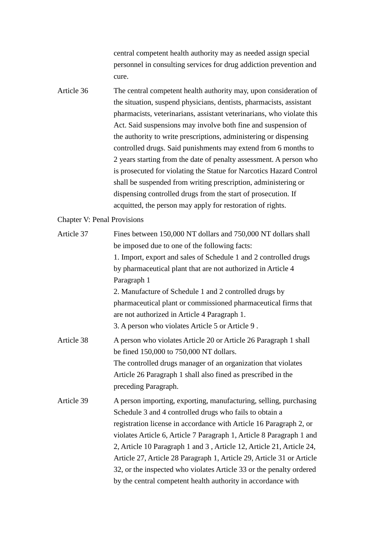central competent health authority may as needed assign special personnel in consulting services for drug addiction prevention and cure.

Article 36 The central competent health authority may, upon consideration of the situation, suspend physicians, dentists, pharmacists, assistant pharmacists, veterinarians, assistant veterinarians, who violate this Act. Said suspensions may involve both fine and suspension of the authority to write prescriptions, administering or dispensing controlled drugs. Said punishments may extend from 6 months to 2 years starting from the date of penalty assessment. A person who is prosecuted for violating the Statue for Narcotics Hazard Control shall be suspended from writing prescription, administering or dispensing controlled drugs from the start of prosecution. If acquitted, the person may apply for restoration of rights.

## Chapter V: Penal Provisions

| Article 37 | Fines between 150,000 NT dollars and 750,000 NT dollars shall         |
|------------|-----------------------------------------------------------------------|
|            | be imposed due to one of the following facts:                         |
|            | 1. Import, export and sales of Schedule 1 and 2 controlled drugs      |
|            | by pharmaceutical plant that are not authorized in Article 4          |
|            | Paragraph 1                                                           |
|            | 2. Manufacture of Schedule 1 and 2 controlled drugs by                |
|            | pharmaceutical plant or commissioned pharmaceutical firms that        |
|            | are not authorized in Article 4 Paragraph 1.                          |
|            | 3. A person who violates Article 5 or Article 9.                      |
| Article 38 | A person who violates Article 20 or Article 26 Paragraph 1 shall      |
|            | be fined 150,000 to 750,000 NT dollars.                               |
|            | The controlled drugs manager of an organization that violates         |
|            | Article 26 Paragraph 1 shall also fined as prescribed in the          |
|            | preceding Paragraph.                                                  |
| Article 39 | A person importing, exporting, manufacturing, selling, purchasing     |
|            | Schedule 3 and 4 controlled drugs who fails to obtain a               |
|            | registration license in accordance with Article 16 Paragraph 2, or    |
|            | violates Article 6, Article 7 Paragraph 1, Article 8 Paragraph 1 and  |
|            | 2, Article 10 Paragraph 1 and 3, Article 12, Article 21, Article 24,  |
|            | Article 27, Article 28 Paragraph 1, Article 29, Article 31 or Article |
|            | 32, or the inspected who violates Article 33 or the penalty ordered   |
|            | by the central competent health authority in accordance with          |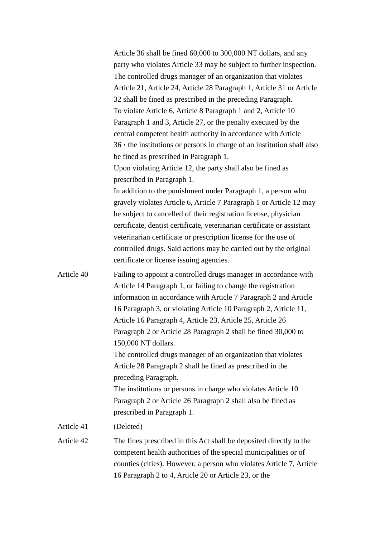Article 36 shall be fined 60,000 to 300,000 NT dollars, and any party who violates Article 33 may be subject to further inspection. The controlled drugs manager of an organization that violates Article 21, Article 24, Article 28 Paragraph 1, Article 31 or Article 32 shall be fined as prescribed in the preceding Paragraph. To violate Article 6, Article 8 Paragraph 1 and 2, Article 10 Paragraph 1 and 3, Article 27, or the penalty executed by the central competent health authority in accordance with Article 36, the institutions or persons in charge of an institution shall also be fined as prescribed in Paragraph 1. Upon violating Article 12, the party shall also be fined as prescribed in Paragraph 1. In addition to the punishment under Paragraph 1, a person who gravely violates Article 6, Article 7 Paragraph 1 or Article 12 may be subject to cancelled of their registration license, physician certificate, dentist certificate, veterinarian certificate or assistant veterinarian certificate or prescription license for the use of controlled drugs. Said actions may be carried out by the original certificate or license issuing agencies. Article 40 Failing to appoint a controlled drugs manager in accordance with Article 14 Paragraph 1, or failing to change the registration information in accordance with Article 7 Paragraph 2 and Article 16 Paragraph 3, or violating Article 10 Paragraph 2, Article 11,

Article 16 Paragraph 4, Article 23, Article 25, Article 26 Paragraph 2 or Article 28 Paragraph 2 shall be fined 30,000 to 150,000 NT dollars. The controlled drugs manager of an organization that violates Article 28 Paragraph 2 shall be fined as prescribed in the preceding Paragraph. The institutions or persons in charge who violates Article 10 Paragraph 2 or Article 26 Paragraph 2 shall also be fined as prescribed in Paragraph 1. Article 41 (Deleted)

Article 42 The fines prescribed in this Act shall be deposited directly to the competent health authorities of the special municipalities or of counties (cities). However, a person who violates Article 7, Article 16 Paragraph 2 to 4, Article 20 or Article 23, or the